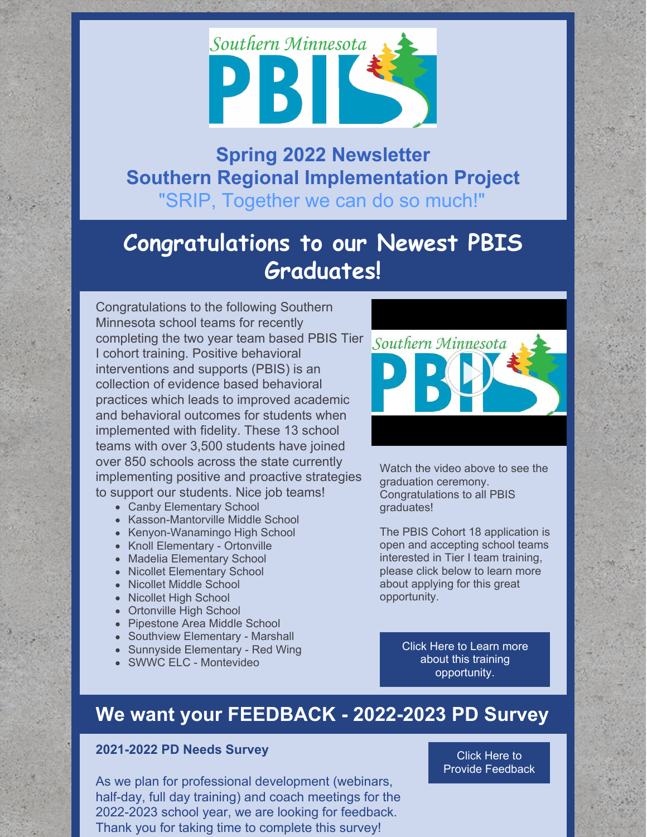

## **Spring 2022 Newsletter Southern Regional Implementation Project** "SRIP, Together we can do so much!"

# **Congratulations to our Newest PBIS Graduates!**

Congratulations to the following Southern Minnesota school teams for recently completing the two year team based PBIS Tier I cohort training. Positive behavioral interventions and supports (PBIS) is an collection of evidence based behavioral practices which leads to improved academic and behavioral outcomes for students when implemented with fidelity. These 13 school teams with over 3,500 students have joined over 850 schools across the state currently implementing positive and proactive strategies to support our students. Nice job teams!

- Canby Elementary School
- Kasson-Mantorville Middle School
- Kenyon-Wanamingo High School
- Knoll Elementary Ortonville
- Madelia Elementary School
- Nicollet Elementary School
- Nicollet Middle School
- Nicollet High School
- Ortonville High School
- Pipestone Area Middle School
- Southview Elementary Marshall
- Sunnyside Elementary Red Wing
- SWWC ELC Montevideo



Watch the video above to see the graduation ceremony. Congratulations to all PBIS graduates!

The PBIS Cohort 18 application is open and accepting school teams interested in Tier I team training, please click below to learn more about applying for this great opportunity.

> Click Here to Learn more about this training [opportunity.](https://www.pbismn.org/getting-started/application-for-school-training.php)

# **We want your FEEDBACK - 2022-2023 PD Survey**

## **2021-2022 PD Needs Survey**

As we plan for professional development (webinars, half-day, full day training) and coach meetings for the 2022-2023 school year, we are looking for feedback. Thank you for taking time to complete this survey!

Click Here to Provide [Feedback](https://docs.google.com/forms/d/e/1FAIpQLSczruiF1dyUvJAwqf7fzj2sSW_Ls0ss4i1oLPbDSJ2dU7pb0A/viewform?usp=sf_link)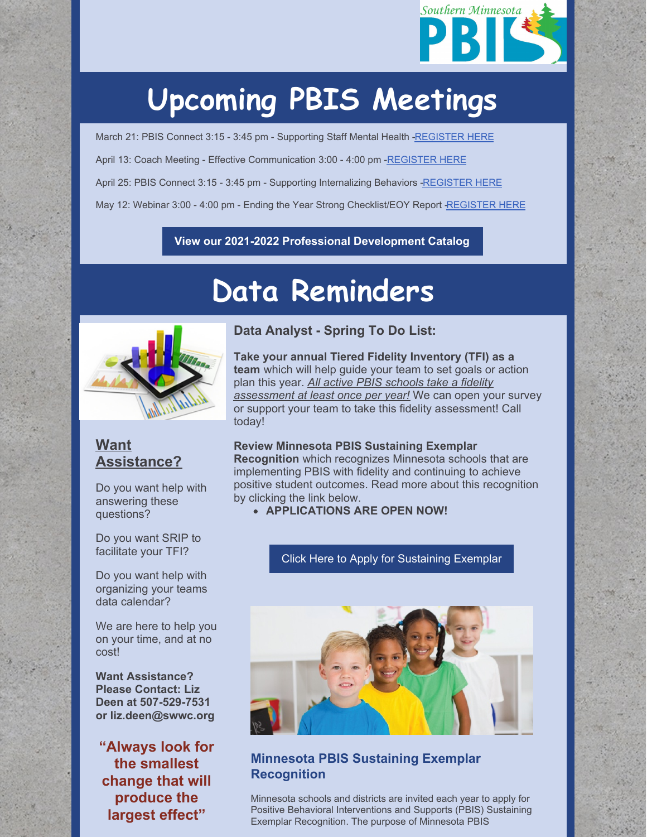

# **Upcoming PBIS Meetings**

March 21: PBIS Connect 3:15 - 3:45 pm - Supporting Staff Mental Health [-REGISTER](https://socrates.zoom.us/meeting/register/tJcpcuyprjIqG9b26-KpkZqHhsOdA3kBA4xS) HERE April 13: Coach Meeting - Effective Communication 3:00 - 4:00 pm [-REGISTER](https://socrates.zoom.us/meeting/register/tJArce2trDkoE9MYDTLmJLNhPUs952zxbTEu) HERE April 25: PBIS Connect 3:15 - 3:45 pm - Supporting Internalizing Behaviors [-REGISTER](https://socrates.zoom.us/meeting/register/tJYucOGvpz0rH9TO9nQzgNp7Ih8KWCjT6FCf) HERE May 12: Webinar 3:00 - 4:00 pm - Ending the Year Strong Checklist/EOY Report [-REGISTER](https://socrates.zoom.us/meeting/register/tJ0scuqgqjwiHdIMt5uqsZNrem0rf4dVhQzQ) HERE

### **View our 2021-2022 Professional [Development](https://drive.google.com/file/d/1wqxM0Sfi7me_KC8agcFvTbBoq1ivgtyd/view?usp=sharing) Catalog**

# **Data Reminders**



## **Want Assistance?**

Do you want help with answering these questions?

Do you want SRIP to facilitate your TFI?

Do you want help with organizing your teams data calendar?

We are here to help you on your time, and at no cost!

**Want Assistance? Please Contact: Liz Deen at 507-529-7531 or liz.deen@swwc.org**

**"Always look for the smallest change that will produce the largest effect"**

## **Data Analyst - Spring To Do List:**

**Take your annual Tiered Fidelity Inventory (TFI) as a team** which will help guide your team to set goals or action plan this year. *All active PBIS schools take a fidelity assessment at least once per year!* We can open your survey or support your team to take this fidelity assessment! Call today!

#### **Review Minnesota PBIS Sustaining Exemplar**

**Recognition** which recognizes Minnesota schools that are implementing PBIS with fidelity and continuing to achieve positive student outcomes. Read more about this recognition by clicking the link below.

**APPLICATIONS ARE OPEN NOW!**

#### Click Here to Apply for [Sustaining](https://www.pbismn.org/statewide/sustaining-exemplar-schools.php) Exemplar



## **Minnesota PBIS Sustaining Exemplar Recognition**

Minnesota schools and districts are invited each year to apply for Positive Behavioral Interventions and Supports (PBIS) Sustaining Exemplar Recognition. The purpose of Minnesota PBIS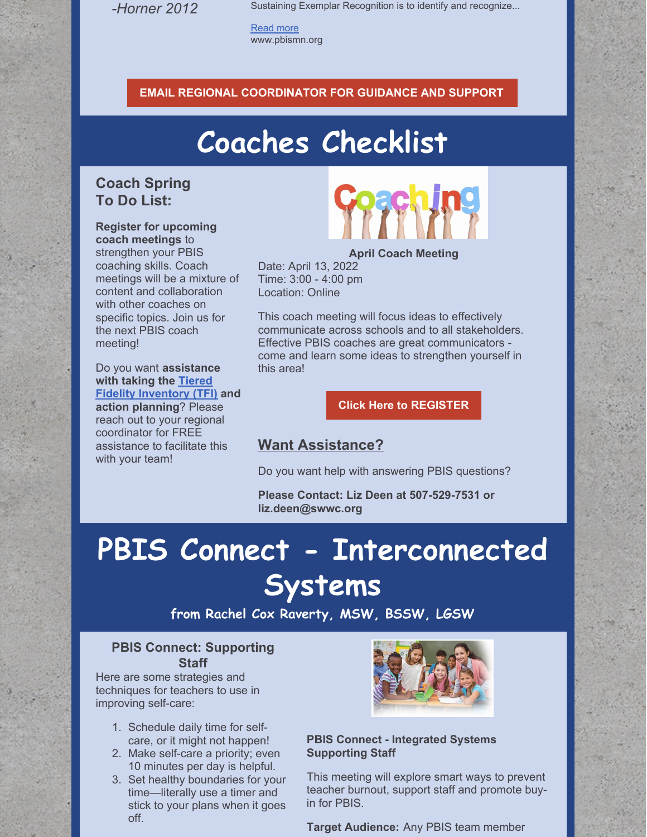*-Horner 2012*

Sustaining Exemplar Recognition is to identify and recognize...

[Read](https://www.pbismn.org/statewide/sustaining-exemplar-schools.php) more www.pbismn.org

#### **EMAIL REGIONAL [COORDINATOR](mailto:liz.deen@swwc.org) FOR GUIDANCE AND SUPPORT**

# **Coaches Checklist**

## **Coach Spring To Do List:**

**Register for upcoming coach meetings** to strengthen your PBIS coaching skills. Coach meetings will be a mixture of content and collaboration with other coaches on specific topics. Join us for the next PBIS coach meeting!

Do you want **assistance with taking the Tiered Fidelity [Inventory](https://assets-global.website-files.com/5d3725188825e071f1670246/5daf1f12bc3bf471b96cbe2b_SWPBIS Tiered Fidelity Inventory (TFI).pdf) (TFI) and action planning**? Please reach out to your regional coordinator for FREE assistance to facilitate this with your team!



**April Coach Meeting**

Date: April 13, 2022 Time: 3:00 - 4:00 pm Location: Online

This coach meeting will focus ideas to effectively communicate across schools and to all stakeholders. Effective PBIS coaches are great communicators come and learn some ideas to strengthen yourself in this area!

**Click Here to [REGISTER](https://socrates.zoom.us/meeting/register/tJArce2trDkoE9MYDTLmJLNhPUs952zxbTEu)**

## **Want Assistance?**

Do you want help with answering PBIS questions?

**Please Contact: Liz Deen at 507-529-7531 or liz.deen@swwc.org**

# **PBIS Connect - Interconnected Systems**

**from Rachel Cox Raverty, MSW, BSSW, LGSW**

## **PBIS Connect: Supporting Staff**

Here are some strategies and techniques for teachers to use in improving self-care:

- 1. Schedule daily time for selfcare, or it might not happen!
- 2. Make self-care a priority; even 10 minutes per day is helpful.
- 3. Set healthy boundaries for your time—literally use a timer and stick to your plans when it goes off.



### **PBIS Connect - Integrated Systems Supporting Staff**

This meeting will explore smart ways to prevent teacher burnout, support staff and promote buyin for PBIS.

**Target Audience:** Any PBIS team member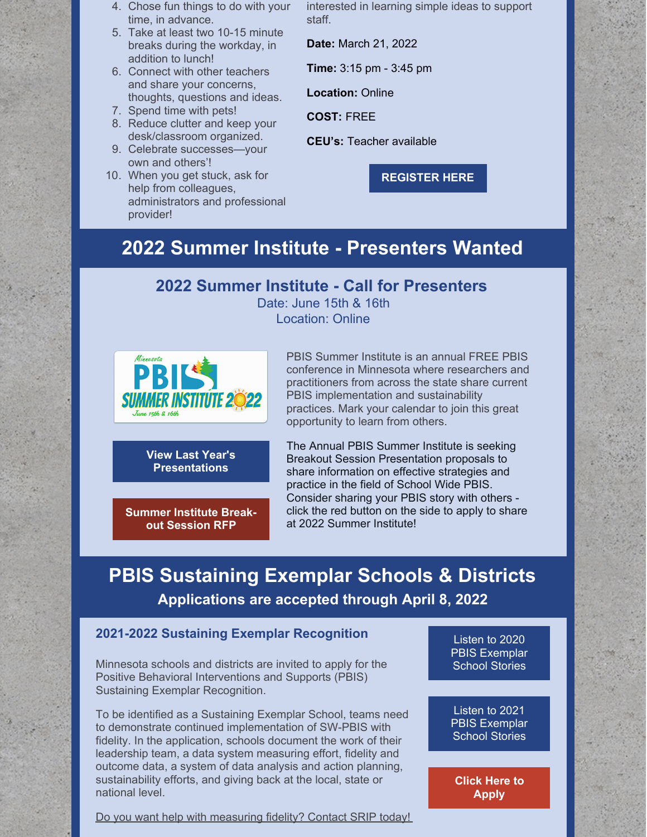- 4. Chose fun things to do with your time, in advance.
- 5. Take at least two 10-15 minute breaks during the workday, in addition to lunch!
- 6. Connect with other teachers and share your concerns, thoughts, questions and ideas.
- 7. Spend time with pets!
- 8. Reduce clutter and keep your desk/classroom organized.
- 9. Celebrate successes—your own and others'!
- 10. When you get stuck, ask for help from colleagues, administrators and professional provider!

interested in learning simple ideas to support staff.

**Date:** March 21, 2022

**Time:** 3:15 pm - 3:45 pm

**Location:** Online

**COST:** FREE

**CEU's:** Teacher available

**[REGISTER](https://socrates.zoom.us/meeting/register/tJcpcuyprjIqG9b26-KpkZqHhsOdA3kBA4xS) HERE**

## **2022 Summer Institute - Presenters Wanted**

## **2022 Summer Institute - Call for Presenters**

Date: June 15th & 16th Location: Online



**View Last Year's [Presentations](https://pbismn.org/summer-institute/)**

**[Summer](https://docs.google.com/document/d/17peU6p_P5b8OkymxdtjSPmVRbGHboltJ/edit?usp=sharing&ouid=107427177669098206551&rtpof=true&sd=true) Institute Breakout Session RFP**

PBIS Summer Institute is an annual FREE PBIS conference in Minnesota where researchers and practitioners from across the state share current PBIS implementation and sustainability practices. Mark your calendar to join this great opportunity to learn from others.

The Annual PBIS Summer Institute is seeking Breakout Session Presentation proposals to share information on effective strategies and practice in the field of School Wide PBIS. Consider sharing your PBIS story with others click the red button on the side to apply to share at 2022 Summer Institute!

# **PBIS Sustaining Exemplar Schools & Districts Applications are accepted through April 8, 2022**

## **2021-2022 Sustaining Exemplar Recognition**

Minnesota schools and districts are invited to apply for the Positive Behavioral Interventions and Supports (PBIS) Sustaining Exemplar Recognition.

To be identified as a Sustaining Exemplar School, teams need to demonstrate continued implementation of SW-PBIS with fidelity. In the application, schools document the work of their leadership team, a data system measuring effort, fidelity and outcome data, a system of data analysis and action planning, sustainability efforts, and giving back at the local, state or national level.

Do you want help with measuring fidelity? Contact SRIP today!

Listen to 2020 PBIS [Exemplar](https://flipgrid.com/27912724) School Stories

Listen to 2021 PBIS [Exemplar](https://flipgrid.com/85b82b1e) School Stories

**Click Here to [Apply](https://www.pbismn.org/statewide/sustaining-exemplar-schools.php)**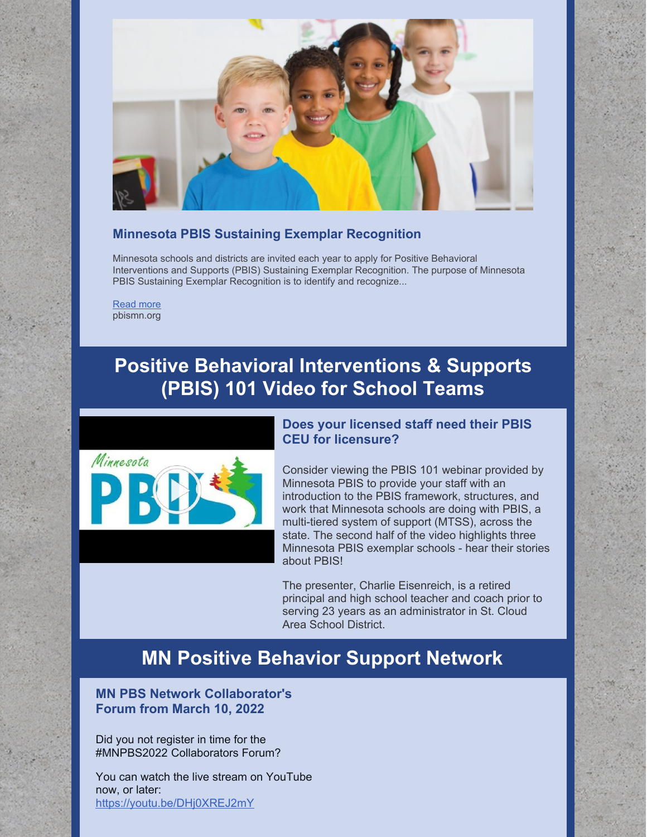

### **Minnesota PBIS Sustaining Exemplar Recognition**

Minnesota schools and districts are invited each year to apply for Positive Behavioral Interventions and Supports (PBIS) Sustaining Exemplar Recognition. The purpose of Minnesota PBIS Sustaining Exemplar Recognition is to identify and recognize...

[Read](http://pbismn.org/statewide/sustaining-exemplar-schools.php) more pbismn.org

## **Positive Behavioral Interventions & Supports (PBIS) 101 Video for School Teams**



### **Does your licensed staff need their PBIS CEU for licensure?**

Consider viewing the PBIS 101 webinar provided by Minnesota PBIS to provide your staff with an introduction to the PBIS framework, structures, and work that Minnesota schools are doing with PBIS, a multi-tiered system of support (MTSS), across the state. The second half of the video highlights three Minnesota PBIS exemplar schools - hear their stories about PBIS!

The presenter, Charlie Eisenreich, is a retired principal and high school teacher and coach prior to serving 23 years as an administrator in St. Cloud Area School District.

## **MN Positive Behavior Support Network**

**MN PBS Network Collaborator's Forum from March 10, 2022**

Did you not register in time for the [#MNPBS2022](https://mobile.twitter.com/hashtag/MNPBS2022?src=hashtag_click) Collaborators Forum?

You can watch the live stream on YouTube now, or later: <https://youtu.be/DHj0XREJ2mY>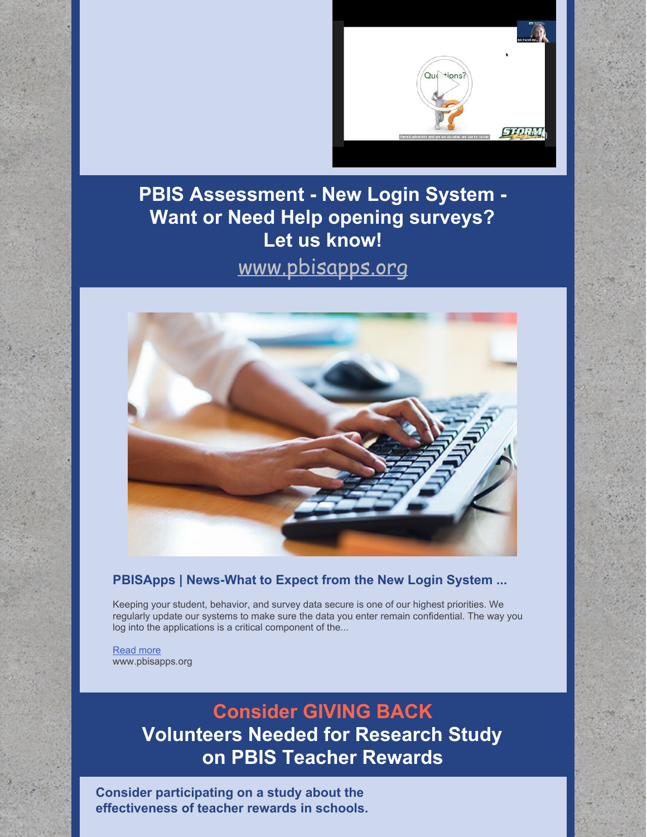

# **PBIS Assessment - New Login System - Want or Need Help opening surveys? Let us know!**

# [www.pbisapps.org](http://www.pbisapps.org)



## **PBISApps | News-What to Expect from the New Login System ...**

Keeping your student, behavior, and survey data secure is one of our highest priorities. We regularly update our systems to make sure the data you enter remain confidential. The way you log into the applications is a critical component of the...

[Read](https://www.pbisapps.org/articles/what-to-expect-from-the-new-login-system-on-march-12) more www.pbisapps.org

# **Consider GIVING BACK Volunteers Needed for Research Study on PBIS Teacher Rewards**

**Consider participating on a study about the effectiveness of teacher rewards in schools.**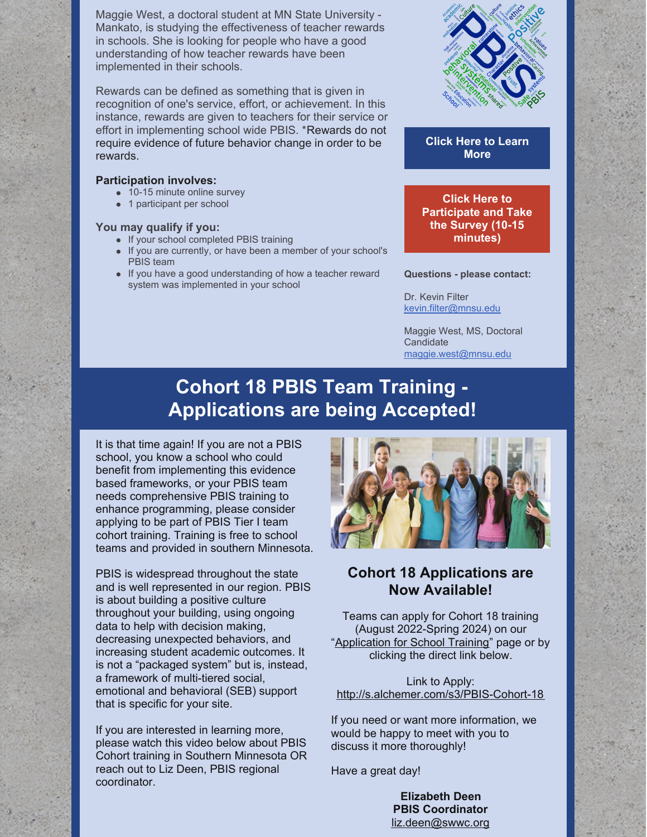Maggie West, a doctoral student at MN State University - Mankato, is studying the effectiveness of teacher rewards in schools. She is looking for people who have a good understanding of how teacher rewards have been implemented in their schools.

Rewards can be defined as something that is given in recognition of one's service, effort, or achievement. In this instance, rewards are given to teachers for their service or effort in implementing school wide PBIS. \*Rewards do not require evidence of future behavior change in order to be rewards.

#### **Participation involves:**

- 10-15 minute online survey
- 1 participant per school

#### **You may qualify if you:**

- If your school completed PBIS training
- If you are currently, or have been a member of your school's PBIS team
- If you have a good understanding of how a teacher reward system was implemented in your school



**Click Here to [Learn](https://files.constantcontact.com/0a9ad3a5201/90fe43e8-cbf2-4ad1-9386-ff1275a6d04e.pdf?rdr=true) More**

**Click Here to [Participate](https://mnsu.co1.qualtrics.com/jfe/form/SV_bO81Xb8ZlEcm8ND) and Take the Survey (10-15 minutes)**

**Questions - please contact:**

Dr. Kevin Filter [kevin.filter@mnsu.edu](mailto:kevin.filter@mnsu.edu)

Maggie West, MS, Doctoral **Candidate** [maggie.west@mnsu.edu](mailto:maggie.west@mnsu.edu)

# **Cohort 18 PBIS Team Training - Applications are being Accepted!**

It is that time again! If you are not a PBIS school, you know a school who could benefit from implementing this evidence based frameworks, or your PBIS team needs comprehensive PBIS training to enhance programming, please consider applying to be part of PBIS Tier I team cohort training. Training is free to school teams and provided in southern Minnesota.

PBIS is widespread throughout the state and is well represented in our region. PBIS is about building a positive culture throughout your building, using ongoing data to help with decision making, decreasing unexpected behaviors, and increasing student academic outcomes. It is not a "packaged system" but is, instead, a framework of multi-tiered social, emotional and behavioral (SEB) support that is specific for your site.

If you are interested in learning more, please watch this video below about PBIS Cohort training in Southern Minnesota OR reach out to Liz Deen, PBIS regional coordinator.



## **Cohort 18 Applications are Now Available!**

Teams can apply for Cohort 18 training (August 2022-Spring 2024) on our "[Application](http://pbismn.org/getting-started/application-for-school-training.php) for School Training" page or by clicking the direct link below.

Link to Apply: <http://s.alchemer.com/s3/PBIS-Cohort-18>

If you need or want more information, we would be happy to meet with you to discuss it more thoroughly!

Have a great day!

**Elizabeth Deen PBIS Coordinator** [liz.deen@swwc.org](mailto:liz.deen@swwc.org)